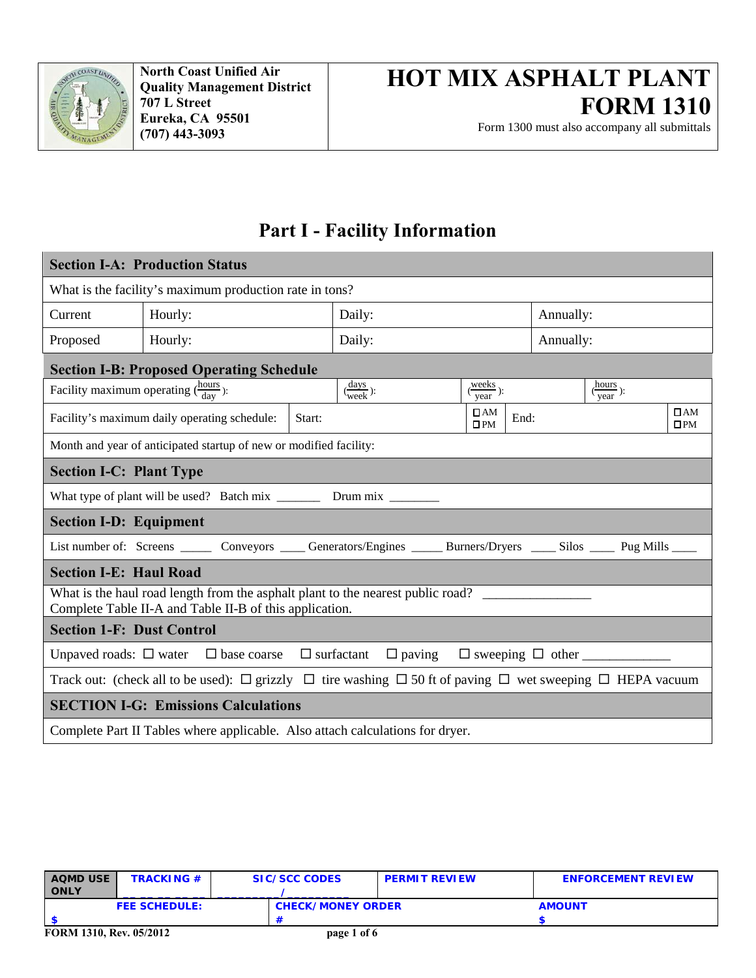

Form 1300 must also accompany all submittals

## **Part I - Facility Information**

| <b>Section I-A: Production Status</b>                                                                                                      |                                                                                                                           |        |                        |                                      |           |                                      |                           |  |
|--------------------------------------------------------------------------------------------------------------------------------------------|---------------------------------------------------------------------------------------------------------------------------|--------|------------------------|--------------------------------------|-----------|--------------------------------------|---------------------------|--|
| What is the facility's maximum production rate in tons?                                                                                    |                                                                                                                           |        |                        |                                      |           |                                      |                           |  |
| Current                                                                                                                                    | Hourly:                                                                                                                   |        | Daily:                 |                                      | Annually: |                                      |                           |  |
| Proposed                                                                                                                                   | Hourly:                                                                                                                   |        | Daily:                 |                                      | Annually: |                                      |                           |  |
|                                                                                                                                            | <b>Section I-B: Proposed Operating Schedule</b>                                                                           |        |                        |                                      |           |                                      |                           |  |
| Facility maximum operating $(\frac{\text{hours}}{\text{day}})$ :                                                                           |                                                                                                                           |        | $\frac{days}{week}$ ): | $\frac{\text{weeks}}{\text{year}}$ : |           | $\frac{\text{hours}}{\text{year}}$ : |                           |  |
|                                                                                                                                            | Facility's maximum daily operating schedule:                                                                              | Start: |                        | $\Box$ AM<br>$\square$ PM            | End:      |                                      | $\Box$ AM<br>$\square$ PM |  |
|                                                                                                                                            | Month and year of anticipated startup of new or modified facility:                                                        |        |                        |                                      |           |                                      |                           |  |
| <b>Section I-C: Plant Type</b>                                                                                                             |                                                                                                                           |        |                        |                                      |           |                                      |                           |  |
|                                                                                                                                            |                                                                                                                           |        |                        |                                      |           |                                      |                           |  |
| <b>Section I-D: Equipment</b>                                                                                                              |                                                                                                                           |        |                        |                                      |           |                                      |                           |  |
|                                                                                                                                            | List number of: Screens _______ Conveyors ______Generators/Engines ______Burners/Dryers _____ Silos _____ Pug Mills _____ |        |                        |                                      |           |                                      |                           |  |
| <b>Section I-E: Haul Road</b>                                                                                                              |                                                                                                                           |        |                        |                                      |           |                                      |                           |  |
| What is the haul road length from the asphalt plant to the nearest public road?<br>Complete Table II-A and Table II-B of this application. |                                                                                                                           |        |                        |                                      |           |                                      |                           |  |
| <b>Section 1-F: Dust Control</b>                                                                                                           |                                                                                                                           |        |                        |                                      |           |                                      |                           |  |
|                                                                                                                                            | Unpaved roads: $\Box$ water $\Box$ base coarse $\Box$ surfactant $\Box$ paving $\Box$ sweeping $\Box$ other               |        |                        |                                      |           |                                      |                           |  |
| Track out: (check all to be used): $\Box$ grizzly $\Box$ tire washing $\Box$ 50 ft of paving $\Box$ wet sweeping $\Box$ HEPA vacuum        |                                                                                                                           |        |                        |                                      |           |                                      |                           |  |
| <b>SECTION I-G: Emissions Calculations</b>                                                                                                 |                                                                                                                           |        |                        |                                      |           |                                      |                           |  |
| Complete Part II Tables where applicable. Also attach calculations for dryer.                                                              |                                                                                                                           |        |                        |                                      |           |                                      |                           |  |

| <b>AQMD USE</b><br><b>ONLY</b> | <b>TRACKING #</b>    | SIC/SCC CODES            | <b>PERMIT REVIEW</b> | <b>ENFORCEMENT REVIEW</b> |  |  |
|--------------------------------|----------------------|--------------------------|----------------------|---------------------------|--|--|
|                                | <b>FEE SCHEDULE:</b> | <b>CHECK/MONEY ORDER</b> |                      | <b>AMOUNT</b>             |  |  |
|                                |                      |                          |                      |                           |  |  |
| FORM 1310, Rev. 05/2012        |                      | page 1 of 6              |                      |                           |  |  |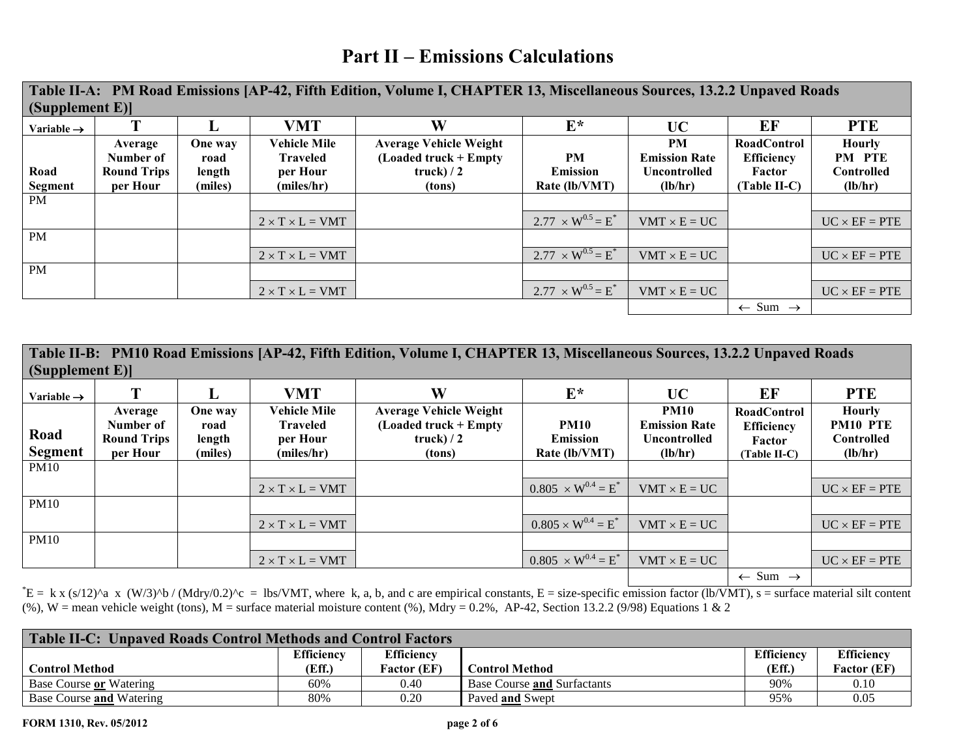## **Part II – Emissions Calculations**

| Table II-A: PM Road Emissions [AP-42, Fifth Edition, Volume I, CHAPTER 13, Miscellaneous Sources, 13.2.2 Unpaved Roads |                                                        |                                      |                                                                  |                                                                                   |                                               |                                                              |                                                                     |                                                         |  |  |
|------------------------------------------------------------------------------------------------------------------------|--------------------------------------------------------|--------------------------------------|------------------------------------------------------------------|-----------------------------------------------------------------------------------|-----------------------------------------------|--------------------------------------------------------------|---------------------------------------------------------------------|---------------------------------------------------------|--|--|
| (Supplement E)                                                                                                         |                                                        |                                      |                                                                  |                                                                                   |                                               |                                                              |                                                                     |                                                         |  |  |
| Variable $\rightarrow$                                                                                                 |                                                        |                                      | <b>VMT</b>                                                       | W                                                                                 | $E^*$                                         | <b>UC</b>                                                    | EF                                                                  | <b>PTE</b>                                              |  |  |
| Road<br><b>Segment</b>                                                                                                 | Average<br>Number of<br><b>Round Trips</b><br>per Hour | One way<br>road<br>length<br>(miles) | <b>Vehicle Mile</b><br><b>Traveled</b><br>per Hour<br>(miles/hr) | <b>Average Vehicle Weight</b><br>$($ Loaded truck + Empty<br>truck $/2$<br>(tons) | <b>PM</b><br><b>Emission</b><br>Rate (lb/VMT) | <b>PM</b><br><b>Emission Rate</b><br>Uncontrolled<br>(lb/hr) | <b>RoadControl</b><br><b>Efficiency</b><br>Factor<br>$(Table II-C)$ | <b>Hourly</b><br>PM PTE<br><b>Controlled</b><br>(lb/hr) |  |  |
| PM                                                                                                                     |                                                        |                                      |                                                                  |                                                                                   |                                               |                                                              |                                                                     |                                                         |  |  |
|                                                                                                                        |                                                        |                                      | $2 \times T \times L = VMT$                                      |                                                                                   | $2.77 \times W^{0.5} = E^*$                   | $VMT \times E = UC$                                          |                                                                     | $UC \times EF = PTE$                                    |  |  |
| <b>PM</b>                                                                                                              |                                                        |                                      |                                                                  |                                                                                   |                                               |                                                              |                                                                     |                                                         |  |  |
|                                                                                                                        |                                                        |                                      | $2 \times T \times L = VMT$                                      |                                                                                   | $2.77 \times W^{0.5} = E^*$                   | $VMT \times E = UC$                                          |                                                                     | $UC \times EF = PTE$                                    |  |  |
| <b>PM</b>                                                                                                              |                                                        |                                      |                                                                  |                                                                                   |                                               |                                                              |                                                                     |                                                         |  |  |
|                                                                                                                        |                                                        |                                      | $2 \times T \times L = VMT$                                      |                                                                                   | $2.77 \times W^{0.5} = E^*$                   | $VMT \times E = UC$                                          |                                                                     | $UC \times EF = PTE$                                    |  |  |
|                                                                                                                        |                                                        |                                      |                                                                  |                                                                                   |                                               |                                                              | $\leftarrow$ Sum $\rightarrow$                                      |                                                         |  |  |

| Table II-B: PM10 Road Emissions [AP-42, Fifth Edition, Volume I, CHAPTER 13, Miscellaneous Sources, 13.2.2 Unpaved Roads |                                                        |                                      |                                                                  |                                                                                   |                                                 |                                                                |                                                                   |                                                           |  |  |
|--------------------------------------------------------------------------------------------------------------------------|--------------------------------------------------------|--------------------------------------|------------------------------------------------------------------|-----------------------------------------------------------------------------------|-------------------------------------------------|----------------------------------------------------------------|-------------------------------------------------------------------|-----------------------------------------------------------|--|--|
| $\left[\right]$ (Supplement E)]                                                                                          |                                                        |                                      |                                                                  |                                                                                   |                                                 |                                                                |                                                                   |                                                           |  |  |
| Variable $\rightarrow$                                                                                                   |                                                        | L                                    | <b>VMT</b>                                                       | W                                                                                 | $E^*$                                           | UC                                                             | EF                                                                | <b>PTE</b>                                                |  |  |
| Road<br><b>Segment</b>                                                                                                   | Average<br>Number of<br><b>Round Trips</b><br>per Hour | One way<br>road<br>length<br>(miles) | <b>Vehicle Mile</b><br><b>Traveled</b><br>per Hour<br>(miles/hr) | <b>Average Vehicle Weight</b><br>$($ Loaded truck + Empty<br>truck $/2$<br>(tons) | <b>PM10</b><br><b>Emission</b><br>Rate (lb/VMT) | <b>PM10</b><br><b>Emission Rate</b><br>Uncontrolled<br>(lb/hr) | <b>RoadControl</b><br><b>Efficiency</b><br>Factor<br>(Table II-C) | <b>Hourly</b><br><b>PM10 PTE</b><br>Controlled<br>(lb/hr) |  |  |
| <b>PM10</b>                                                                                                              |                                                        |                                      |                                                                  |                                                                                   |                                                 |                                                                |                                                                   |                                                           |  |  |
|                                                                                                                          |                                                        |                                      | $2 \times T \times L = VMT$                                      |                                                                                   | $0.805 \times W^{0.4} = E^*$                    | $VMT \times E = UC$                                            |                                                                   | $UC \times EF = PTE$                                      |  |  |
| <b>PM10</b>                                                                                                              |                                                        |                                      |                                                                  |                                                                                   |                                                 |                                                                |                                                                   |                                                           |  |  |
|                                                                                                                          |                                                        |                                      | $2 \times T \times L = VMT$                                      |                                                                                   | $0.805 \times W^{0.4} = E^*$                    | $VMT \times E = UC$                                            |                                                                   | $UC \times EF = PTE$                                      |  |  |
| <b>PM10</b>                                                                                                              |                                                        |                                      |                                                                  |                                                                                   |                                                 |                                                                |                                                                   |                                                           |  |  |
|                                                                                                                          |                                                        |                                      | $2 \times T \times L = VMT$                                      |                                                                                   | $0.805 \times W^{0.4} = E^*$                    | $VMT \times E = UC$                                            |                                                                   | $UC \times EF = PTE$                                      |  |  |
|                                                                                                                          |                                                        |                                      |                                                                  |                                                                                   |                                                 |                                                                | $\leftarrow$ Sum $\rightarrow$                                    |                                                           |  |  |

 $E = k x (s/12)^a$  x  $(W/3)^b / (Mdry/0.2)^c = lbs/VMT$ , where k, a, b, and c are empirical constants, E = size-specific emission factor (lb/VMT), s = surface material silt content (%), W = mean vehicle weight (tons), M = surface material moisture content (%), Mdry = 0.2%, AP-42, Section 13.2.2 (9/98) Equations 1 & 2

| Table II-C: Unpaved Roads Control Methods and Control Factors |                   |                    |                             |            |                    |  |  |  |  |
|---------------------------------------------------------------|-------------------|--------------------|-----------------------------|------------|--------------------|--|--|--|--|
|                                                               | <b>Efficiency</b> | <b>Efficiency</b>  |                             | Efficiency | <b>Efficiency</b>  |  |  |  |  |
| <b>Control Method</b>                                         | (Eff.)            | <b>Factor (EF)</b> | Control Method              | (Eff.)     | <b>Factor</b> (EF) |  |  |  |  |
| <b>Base Course or Watering</b>                                | 60%               | 0.40               | Base Course and Surfactants | 90%        | 0.10               |  |  |  |  |
| <b>Base Course and Watering</b>                               | 80%               | 0.20               | Paved and Swept             | 95%        | 0.05               |  |  |  |  |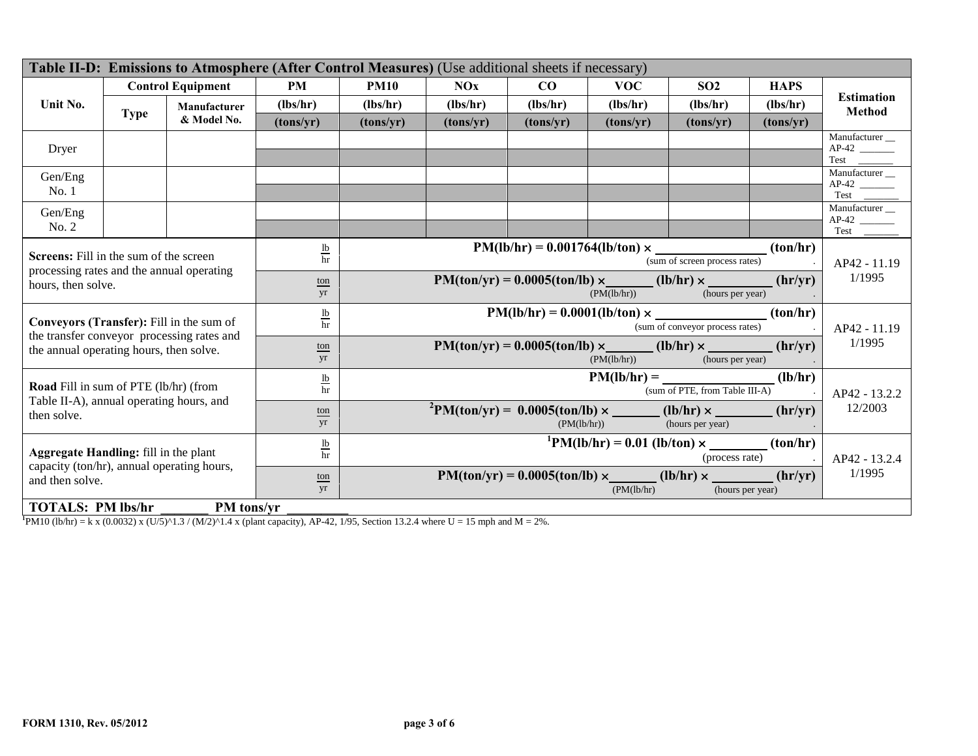| Table II-D: Emissions to Atmosphere (After Control Measures) (Use additional sheets if necessary)                                         |             |                                            |                               |                                                                                                     |                                                                                              |            |                                                                                    |                                |               |                                    |  |
|-------------------------------------------------------------------------------------------------------------------------------------------|-------------|--------------------------------------------|-------------------------------|-----------------------------------------------------------------------------------------------------|----------------------------------------------------------------------------------------------|------------|------------------------------------------------------------------------------------|--------------------------------|---------------|------------------------------------|--|
|                                                                                                                                           |             | <b>Control Equipment</b>                   | <b>PM</b>                     | <b>PM10</b>                                                                                         | NOx                                                                                          | CO         | <b>VOC</b>                                                                         | SO <sub>2</sub>                | <b>HAPS</b>   |                                    |  |
| Unit No.                                                                                                                                  |             | Manufacturer                               | (lbs/hr)                      | (lbs/hr)                                                                                            | (lbs/hr)                                                                                     | (lbs/hr)   | (lbs/hr)                                                                           | (lbs/hr)                       | (lbs/hr)      | <b>Estimation</b><br><b>Method</b> |  |
|                                                                                                                                           | <b>Type</b> | & Model No.                                | (tons/yr)                     | (tons/yr)                                                                                           | (tons/yr)                                                                                    | (tons/yr)  | (tons/yr)                                                                          | (tons/yr)                      | (tons/yr)     |                                    |  |
| Dryer                                                                                                                                     |             |                                            |                               |                                                                                                     |                                                                                              |            |                                                                                    |                                |               | Manufacturer _                     |  |
|                                                                                                                                           |             |                                            |                               |                                                                                                     |                                                                                              |            |                                                                                    |                                |               |                                    |  |
| Gen/Eng                                                                                                                                   |             |                                            |                               |                                                                                                     |                                                                                              |            |                                                                                    |                                |               | Manufacturer_                      |  |
| No.1                                                                                                                                      |             |                                            |                               |                                                                                                     |                                                                                              |            |                                                                                    |                                |               |                                    |  |
| Gen/Eng                                                                                                                                   |             |                                            |                               |                                                                                                     |                                                                                              |            |                                                                                    |                                |               | Manufacturer _                     |  |
| No. 2                                                                                                                                     |             |                                            |                               |                                                                                                     |                                                                                              |            |                                                                                    |                                |               |                                    |  |
| Screens: Fill in the sum of the screen                                                                                                    |             |                                            | $\frac{\text{lb}}{\text{hr}}$ |                                                                                                     |                                                                                              |            | $PM(lb/hr) = 0.001764(lb/ton) \times$                                              |                                | (ton/hr)      |                                    |  |
| processing rates and the annual operating                                                                                                 |             |                                            |                               |                                                                                                     | (sum of screen process rates)                                                                |            |                                                                                    |                                |               |                                    |  |
| hours, then solve.                                                                                                                        |             |                                            | ton<br>yr                     |                                                                                                     | $PM(ton/yr) = 0.0005(ton/lb) \times$ (lb/hr) ×<br>(hr/yr)<br>(PM(lb/hr))<br>(hours per year) |            |                                                                                    |                                |               |                                    |  |
|                                                                                                                                           |             |                                            |                               |                                                                                                     |                                                                                              |            |                                                                                    |                                |               |                                    |  |
| Conveyors (Transfer): Fill in the sum of                                                                                                  |             |                                            | $rac{1b}{hr}$                 |                                                                                                     | (ton/hr)<br>$PM(lb/hr) = 0.0001(lb/ton) \times$<br>(sum of conveyor process rates)           |            |                                                                                    |                                |               |                                    |  |
| the annual operating hours, then solve.                                                                                                   |             | the transfer conveyor processing rates and | ton                           | (hr/yr)<br>$PM(ton/yr) = 0.0005(ton/lb) \times$ (lb/hr) $\times$<br>(PM(lb/hr))<br>(hours per year) |                                                                                              |            |                                                                                    |                                |               | AP42 - 11.19<br>1/1995             |  |
|                                                                                                                                           |             |                                            | yr                            |                                                                                                     |                                                                                              |            |                                                                                    |                                |               |                                    |  |
| Road Fill in sum of PTE (lb/hr) (from                                                                                                     |             |                                            | $rac{1b}{hr}$                 | (lb/hr)<br>$PM(lb/hr) =$                                                                            |                                                                                              |            |                                                                                    |                                |               |                                    |  |
| Table II-A), annual operating hours, and                                                                                                  |             |                                            |                               |                                                                                                     |                                                                                              |            |                                                                                    | (sum of PTE, from Table III-A) |               | AP42 - 13.2.2                      |  |
| then solve.                                                                                                                               |             |                                            | $ton$<br>yr                   |                                                                                                     |                                                                                              |            | ${}^{2}PM(ton/yr) = 0.0005(ton/lb) \times$ (lb/hr) $\times$ (hr/yr)<br>(PM(lb/hr)) | (hours per year)               |               | 12/2003                            |  |
| Aggregate Handling: fill in the plant<br>capacity (ton/hr), annual operating hours,<br>and then solve.                                    |             |                                            | $rac{1b}{hr}$                 |                                                                                                     |                                                                                              |            | ${}^{1}PM(lb/hr) = 0.01 (lb/ton) \times$ (ton/hr)                                  |                                |               |                                    |  |
|                                                                                                                                           |             |                                            |                               |                                                                                                     |                                                                                              |            | (process rate)                                                                     |                                | AP42 - 13.2.4 |                                    |  |
|                                                                                                                                           |             | ton<br>yr                                  |                               |                                                                                                     |                                                                                              | (PM(lb/hr) | (hours per year)                                                                   | (hr/yr)                        | 1/1995        |                                    |  |
| <b>TOTALS: PM lbs/hr</b>                                                                                                                  |             | PM tons/yr                                 |                               |                                                                                                     |                                                                                              |            |                                                                                    |                                |               |                                    |  |
| ${}^{1}P$ M10 (lb/hr) = k x (0.0032) x (U/5)^1.3 / (M/2)^1.4 x (plant capacity), AP-42, 1/95, Section 13.2.4 where U = 15 mph and M = 2%. |             |                                            |                               |                                                                                                     |                                                                                              |            |                                                                                    |                                |               |                                    |  |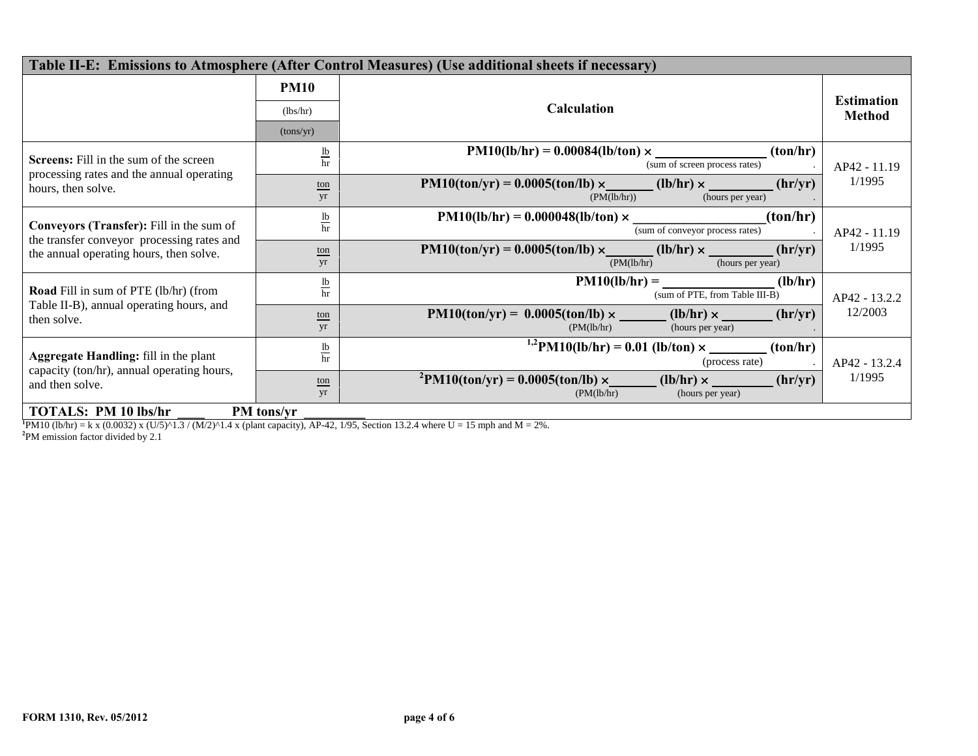| Table II-E: Emissions to Atmosphere (After Control Measures) (Use additional sheets if necessary)                                 |                                                 |                                                                                                                                                                                                 |                                    |  |  |  |  |  |
|-----------------------------------------------------------------------------------------------------------------------------------|-------------------------------------------------|-------------------------------------------------------------------------------------------------------------------------------------------------------------------------------------------------|------------------------------------|--|--|--|--|--|
|                                                                                                                                   | <b>PM10</b><br>(lbs/hr)<br>(tons/yr)            | <b>Calculation</b>                                                                                                                                                                              | <b>Estimation</b><br><b>Method</b> |  |  |  |  |  |
| <b>Screens:</b> Fill in the sum of the screen<br>processing rates and the annual operating<br>hours, then solve.                  | $\underline{\mathbf{lb}}$<br>hr<br>ton<br>yr    | $PM10(lb/hr) = 0.00084(lb/ton) \times$<br>(ton/hr)<br>(sum of screen process rates)<br>$PM10(ton/yr) = 0.0005(ton/lb) \times (lb/hr) \times$<br>(hr/yr)<br>(PM(lb/hr))<br>(hours per year)      | AP42 - 11.19<br>1/1995             |  |  |  |  |  |
| Conveyors (Transfer): Fill in the sum of<br>the transfer conveyor processing rates and<br>the annual operating hours, then solve. | $rac{1b}{hr}$<br>$\underline{\text{ton}}$<br>yr | (ton/hr)<br>$PM10(lb/hr) = 0.000048(lb/ton) \times$<br>(sum of conveyor process rates)<br>$PM10(ton/yr) = 0.0005(ton/lb) \times$ (lb/hr) $\times$<br>(hr/yr)<br>(PM(lb/hr))<br>(hours per year) | AP42 - 11.19<br>1/1995             |  |  |  |  |  |
| <b>Road</b> Fill in sum of PTE (lb/hr) (from<br>Table II-B), annual operating hours, and<br>then solve.                           | $\frac{1b}{hr}$<br>ton<br>yr                    | $PM10(lb/hr) =$<br>(lb/hr)<br>(sum of PTE, from Table III-B)<br>$PM10(ton/yr) = 0.0005(ton/lb) \times$ (lb/hr) $\times$ (hr/yr)<br>(PM(lb/hr)<br>(hours per year)                               | AP42 - 13.2.2<br>12/2003           |  |  |  |  |  |
| <b>Aggregate Handling:</b> fill in the plant<br>capacity (ton/hr), annual operating hours,<br>and then solve.                     | $\underline{\mathbf{lb}}$<br>hr<br>ton<br>yr    | (ton/hr)<br>(process rate)<br>$P_{\text{M10}(\text{ton/yr})} = 0.0005(\text{ton/lb}) \times (1 \text{b/hr}) \times (1 \text{m/s})$<br>(hr/yr)<br>(PM(lb/hr)<br>(hours per year)                 | AP42 - 13.2.4<br>1/1995            |  |  |  |  |  |
| <b>TOTALS: PM 10 lbs/hr</b><br>PM tons/yr                                                                                         |                                                 |                                                                                                                                                                                                 |                                    |  |  |  |  |  |

**TOTALS:** PM 10 lbs/hr<br><sup>1</sup>PM10 (lb/hr) = k x (0.0032) x (U/5)^1.3 / (M/2)^1.4 x (plant capacity), AP-42, 1/95, Section 13.2.4 where U = 15 mph and M = 2%.<br><sup>2</sup>PM emission factor divided by 2.1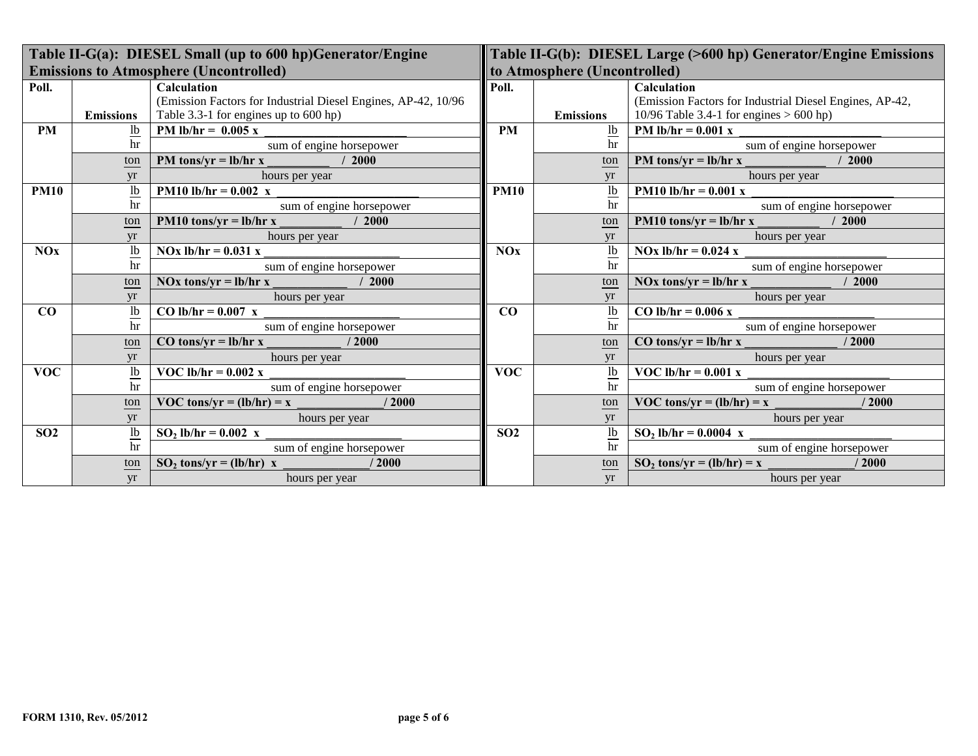| Table II-G(a): DIESEL Small (up to 600 hp)Generator/Engine |                           |                                                               |                              | Table II-G(b): DIESEL Large (>600 hp) Generator/Engine Emissions |                                                         |  |  |
|------------------------------------------------------------|---------------------------|---------------------------------------------------------------|------------------------------|------------------------------------------------------------------|---------------------------------------------------------|--|--|
|                                                            |                           | <b>Emissions to Atmosphere (Uncontrolled)</b>                 | to Atmosphere (Uncontrolled) |                                                                  |                                                         |  |  |
| Poll.                                                      |                           | <b>Calculation</b>                                            | Poll.                        |                                                                  | Calculation                                             |  |  |
|                                                            |                           | (Emission Factors for Industrial Diesel Engines, AP-42, 10/96 |                              |                                                                  | (Emission Factors for Industrial Diesel Engines, AP-42, |  |  |
|                                                            | <b>Emissions</b>          | Table 3.3-1 for engines up to 600 hp)                         |                              | <b>Emissions</b>                                                 | 10/96 Table 3.4-1 for engines $> 600$ hp)               |  |  |
| <b>PM</b>                                                  | $\underline{\mathsf{lb}}$ | PM lb/hr = $0.005 x$                                          | <b>PM</b>                    | $\underline{\mathbf{lb}}$                                        | <b>PM</b> lb/hr = $0.001$ x                             |  |  |
|                                                            | hr                        | sum of engine horsepower                                      |                              | hr                                                               | sum of engine horsepower                                |  |  |
|                                                            | ton                       | PM tons/yr = $\frac{1}{h}$ hr x<br>/2000                      |                              | ton                                                              | PM tons/yr = $\frac{1}{h}$ hr x<br>/2000                |  |  |
|                                                            | yr                        | hours per year                                                |                              | yr                                                               | hours per year                                          |  |  |
| <b>PM10</b>                                                | $\underline{\text{lb}}$   | <b>PM10</b> lb/hr = $0.002$ x                                 | <b>PM10</b>                  | $\underline{\text{lb}}$                                          | <b>PM10 lb/hr = 0.001 x</b>                             |  |  |
|                                                            | hr                        | sum of engine horsepower                                      |                              | hr                                                               | sum of engine horsepower                                |  |  |
|                                                            | ton                       | PM10 tons/yr = $lb/hr x$<br>/2000                             |                              | ton                                                              | $PM10$ tons/yr = lb/hr x<br>/2000                       |  |  |
|                                                            | <b>vr</b>                 | hours per year                                                |                              | yr                                                               | hours per year                                          |  |  |
| NOx                                                        | $\underline{\mathsf{lb}}$ | $NOx$ lb/hr = 0.031 x                                         | NOx                          | $\underline{\text{lb}}$                                          | NOx $lb/hr = 0.024$ x                                   |  |  |
|                                                            | hr                        | sum of engine horsepower                                      |                              | hr                                                               | sum of engine horsepower                                |  |  |
|                                                            | ton                       | 2000<br>NOx tons/yr = $\frac{1}{h}$ hr x                      |                              | ton                                                              | NOx tons/yr = $\frac{1}{h}$ hr x<br>/2000               |  |  |
|                                                            | yr                        | hours per year                                                |                              | yr                                                               | hours per year                                          |  |  |
| CO                                                         | $\underline{\mathsf{lb}}$ | CO lb/hr = $0.007$ x                                          | CO                           | $\frac{1b}{hr}$                                                  | CO lb/hr = $0.006$ x                                    |  |  |
|                                                            | hr                        | sum of engine horsepower                                      |                              |                                                                  | sum of engine horsepower                                |  |  |
|                                                            | ton                       | /2000<br>$CO \t{tons/yr} = lb/hr \t{x}$                       |                              | ton                                                              | $CO \t{tons/yr} = lb/hr \t{x}$<br>/2000                 |  |  |
|                                                            | yr                        | hours per year                                                |                              | yr                                                               | hours per year                                          |  |  |
| <b>VOC</b>                                                 | $\underline{\text{lb}}$   | VOC lb/hr = $0.002$ x                                         | <b>VOC</b>                   | 1 <sub>b</sub>                                                   | VOC lb/hr = $0.001$ x                                   |  |  |
|                                                            | hr                        | sum of engine horsepower                                      |                              | hr                                                               | sum of engine horsepower                                |  |  |
|                                                            | ton                       | /2000<br>VOC tons/yr = $(lb/hr) = x$                          |                              | ton                                                              | VOC tons/yr = $(lb/hr) = x$<br>/2000                    |  |  |
|                                                            | yr                        | hours per year                                                |                              | yr                                                               | hours per year                                          |  |  |
| SO <sub>2</sub>                                            | $\frac{1}{b}$             | $SO_2$ lb/hr = 0.002 x                                        | SO <sub>2</sub>              | $\frac{1}{h}$                                                    | $SO_2$ lb/hr = 0.0004 x                                 |  |  |
|                                                            | hr                        | sum of engine horsepower                                      |                              |                                                                  | sum of engine horsepower                                |  |  |
|                                                            | ton                       | /2000<br>$SO_2$ tons/yr = (lb/hr) x                           |                              | ton                                                              | /2000<br>$SO_2$ tons/yr = (lb/hr) = x                   |  |  |
|                                                            | yr                        | hours per year                                                |                              | yr                                                               | hours per year                                          |  |  |